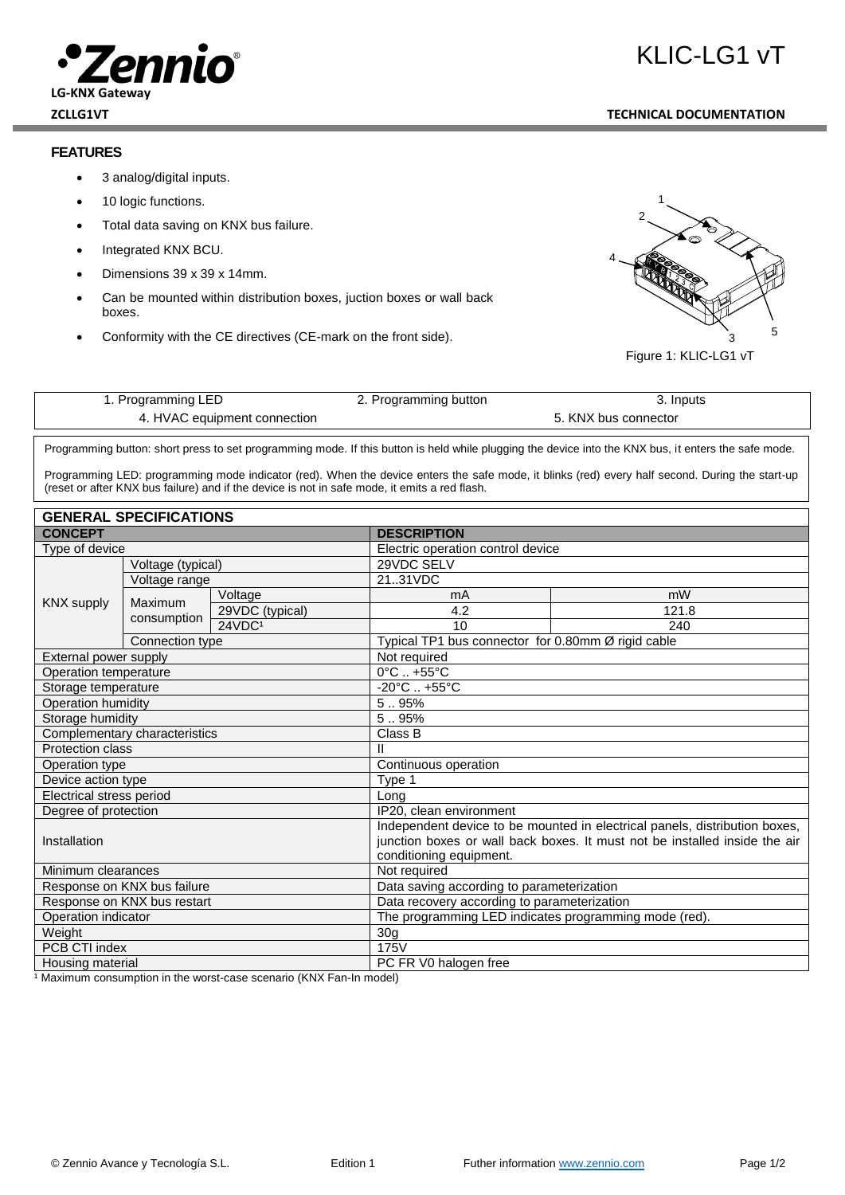## ennio **LG-KNX Gateway**

## **FEATURES**

- 3 analog/digital inputs.
- 10 logic functions.
- Total data saving on KNX bus failure.
- Integrated KNX BCU.
- Dimensions 39 x 39 x 14mm.
- Can be mounted within distribution boxes, juction boxes or wall back boxes.
- Conformity with the CE directives (CE-mark on the front side).



Figure 1: KLIC-LG1 vT

| t. Programming LED           | 2. Programming button | 3. Inputs            |  |
|------------------------------|-----------------------|----------------------|--|
| 4. HVAC equipment connection |                       | 5. KNX bus connector |  |

Programming button: short press to set programming mode. If this button is held while plugging the device into the KNX bus, it enters the safe mode.

Programming LED: programming mode indicator (red). When the device enters the safe mode, it blinks (red) every half second. During the start-up (reset or after KNX bus failure) and if the device is not in safe mode, it emits a red flash. node, it blinks (red) everv half second.

| <b>GENERAL SPECIFICATIONS</b> |                             |                                                                            |                                           |                                                    |  |
|-------------------------------|-----------------------------|----------------------------------------------------------------------------|-------------------------------------------|----------------------------------------------------|--|
| <b>CONCEPT</b>                |                             | <b>DESCRIPTION</b>                                                         |                                           |                                                    |  |
| Type of device                |                             | Electric operation control device                                          |                                           |                                                    |  |
| <b>KNX supply</b>             | Voltage (typical)           |                                                                            | 29VDC SELV                                |                                                    |  |
|                               | Voltage range               |                                                                            | 2131VDC                                   |                                                    |  |
|                               | Maximum                     | Voltage                                                                    | mA                                        | mW                                                 |  |
|                               |                             | 29VDC (typical)                                                            | 4.2                                       | 121.8                                              |  |
|                               | consumption                 | 24VDC1                                                                     | 10                                        | 240                                                |  |
|                               | Connection type             |                                                                            |                                           | Typical TP1 bus connector for 0.80mm Ø rigid cable |  |
| External power supply         |                             |                                                                            | Not required                              |                                                    |  |
| Operation temperature         |                             |                                                                            | $0^{\circ}$ C $. +55^{\circ}$ C           |                                                    |  |
| Storage temperature           |                             | $-20^{\circ}$ C  +55 $^{\circ}$ C                                          |                                           |                                                    |  |
| <b>Operation humidity</b>     |                             | 5.95%                                                                      |                                           |                                                    |  |
| Storage humidity              |                             | 5.95%                                                                      |                                           |                                                    |  |
| Complementary characteristics |                             | Class B                                                                    |                                           |                                                    |  |
| Protection class              |                             | Ш                                                                          |                                           |                                                    |  |
| Operation type                |                             | Continuous operation                                                       |                                           |                                                    |  |
| Device action type            |                             | Type 1                                                                     |                                           |                                                    |  |
| Electrical stress period      |                             | Long                                                                       |                                           |                                                    |  |
| Degree of protection          |                             | IP20, clean environment                                                    |                                           |                                                    |  |
| Installation                  |                             | Independent device to be mounted in electrical panels, distribution boxes, |                                           |                                                    |  |
|                               |                             | junction boxes or wall back boxes. It must not be installed inside the air |                                           |                                                    |  |
|                               |                             | conditioning equipment.                                                    |                                           |                                                    |  |
| Minimum clearances            |                             | Not required                                                               |                                           |                                                    |  |
|                               | Response on KNX bus failure |                                                                            | Data saving according to parameterization |                                                    |  |
| Response on KNX bus restart   |                             | Data recovery according to parameterization                                |                                           |                                                    |  |
| Operation indicator           |                             | The programming LED indicates programming mode (red).                      |                                           |                                                    |  |
| Weight                        |                             | 30 <sub>g</sub>                                                            |                                           |                                                    |  |
| PCB CTI index                 |                             | 175V                                                                       |                                           |                                                    |  |
| Housing material              |                             | PC FR V0 halogen free                                                      |                                           |                                                    |  |

1 Maximum consumption in the worst-case scenario (KNX Fan-In model)

KLIC-LG1 vT